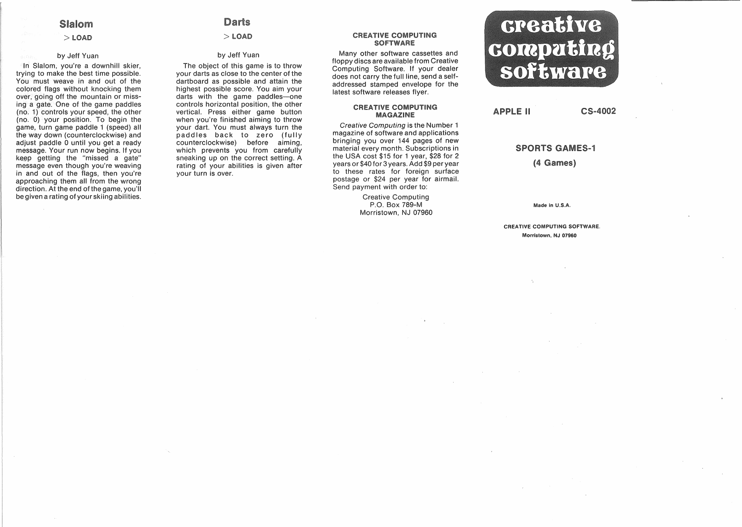# Slalom

# $>$  LOAD

#### by Jeff Yuan

In Slalom, you're a downhill skier, trying to make the best time possible. You must weave in and out of the colored flags without knocking them over, going off the mountain or missing a gate. One of the game paddles (no. 1) controls your speed, the other (no.  $0$ ) your position. To begin the game, turn game paddle 1 (speed) all the way down (counterclockwise) and adjust paddle 0 until you get a ready message. Your run now begins. If you keep getting the "missed a gate" message even though you're weaving in and out of the flags, then you're approaching them all from the wrong direction. At the end of the game, you'll be given a rating of your skiing abilities.

# **Darts**

 $>$  LOAD

# by Jeff Yuan

The object of this game is to throw your darts as close to the center of the dartboard as possible and attain the highest possible score. You aim your darts with the game paddles-one controls horizontal position, the other vertical. Press either game button when you're finished aiming to throw your dart. You must always turn the paddles back to zero (fully counterclockwise) before aiming, which prevents you from carefully sneaking up on the correct setting. A rating of your abilities is given after your turn is .over.

#### **CREATIVE COMPUTING SOFTWARE**

Many other software cassettes and floppy discs are available from Creative Computing Software. If your dealer does not carry the full line, send a selfaddressed stamped envelope for the latest software releases flyer.

#### **CREATIVE COMPUTING MAGAZINE**

Creative Computing is the Number 1 magazine of software and applications bringing you over 144 pages of new material every month. Subscriptions in the USA cost \$15 for 1 year, \$28 for 2 years or \$40 for 3 years. Add \$9 per year to these rates for foreign surface postage or \$24 per year for airmail. Send payment with order to:

> Creative Computing P.O. Box 789-M Morristown, NJ 07960

# creative computing software

**APPLE II** 

CS-4002

### SPORTS GAMES-1

(4 Games)

Made In U.S.A.

CREATIVE COMPUTING SOFTWARE. Morristown, NJ 07960